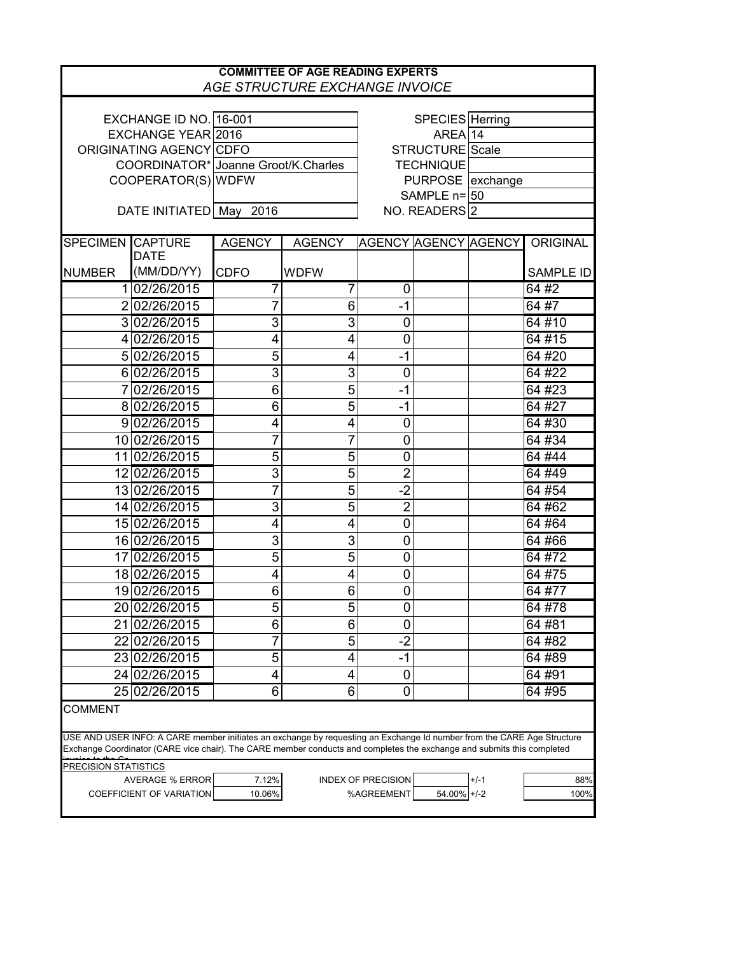| EXCHANGE ID NO. 16-001<br>SPECIES Herring<br>$AREA$ 14<br>EXCHANGE YEAR 2016<br>STRUCTURE Scale<br>ORIGINATING AGENCY CDFO<br>COORDINATOR* Joanne Groot/K.Charles<br><b>TECHNIQUE</b><br>PURPOSE exchange<br>COOPERATOR(S) WDFW<br>SAMPLE $n = 50$<br>DATE INITIATED May<br>NO. READERS 2<br>2016<br><b>SPECIMEN CAPTURE</b><br>ORIGINAL<br><b>AGENCY</b><br><b>AGENCY</b><br>AGENCY AGENCY AGENCY<br><b>DATE</b><br>(MM/DD/YY)<br><b>CDFO</b><br><b>WDFW</b><br><b>SAMPLE ID</b><br>102/26/2015<br>64#2<br>7<br>0<br>64#7<br>202/26/2015<br>7<br>6<br>$-1$<br>3<br>3<br>3 02/26/2015<br>$\mathbf 0$<br>64#10<br>$\mathbf 0$<br>64 #15<br>4 02/26/2015<br>4<br>4<br>5<br>64 #20<br>5 02/26/2015<br>$-1$<br>4<br>3<br>3<br>$\mathbf 0$<br>6 02/26/2015<br>64 #22<br>6<br>5<br>$-1$<br>7 02/26/2015<br>64 #23<br>8 02/26/2015<br>6<br>5<br>$-1$<br>64 #27<br>64 #30<br>9 02/26/2015<br>$\mathbf 0$<br>4<br>4<br>7<br>$\mathbf 0$<br>64 #34<br>10 02/26/2015<br>5<br>5<br>$\mathbf 0$<br>64 #44<br>11 02/26/2015<br>$\overline{2}$<br>$\mathfrak{S}$<br>5<br>12 02/26/2015<br>64 #49<br>$-2$<br>5<br>7<br>13 02/26/2015<br>64 #54<br>$\overline{c}$<br>3<br>5<br>14 02/26/2015<br>64 #62<br>$\mathbf 0$<br>64 #64<br>15 02/26/2015<br>4<br>4<br>3<br>$\mathbf 0$<br>16 02/26/2015<br>3<br>64 #66<br>5<br>5<br>$\mathbf 0$<br>17 02/26/2015<br>64 #72<br>$\boldsymbol{0}$<br>64 #75<br>18 02/26/2015<br>4<br>4<br>19 02/26/2015<br>6<br>$\mathbf 0$<br>64 #77<br>6<br>20 02/26/2015<br>5 <sub>l</sub><br>5<br>$\pmb{0}$<br>64 #78 |
|-------------------------------------------------------------------------------------------------------------------------------------------------------------------------------------------------------------------------------------------------------------------------------------------------------------------------------------------------------------------------------------------------------------------------------------------------------------------------------------------------------------------------------------------------------------------------------------------------------------------------------------------------------------------------------------------------------------------------------------------------------------------------------------------------------------------------------------------------------------------------------------------------------------------------------------------------------------------------------------------------------------------------------------------------------------------------------------------------------------------------------------------------------------------------------------------------------------------------------------------------------------------------------------------------------------------------------------------------------------------------------------------------------------------------------------------------------------------------------------------------------------------------------|
|                                                                                                                                                                                                                                                                                                                                                                                                                                                                                                                                                                                                                                                                                                                                                                                                                                                                                                                                                                                                                                                                                                                                                                                                                                                                                                                                                                                                                                                                                                                               |
|                                                                                                                                                                                                                                                                                                                                                                                                                                                                                                                                                                                                                                                                                                                                                                                                                                                                                                                                                                                                                                                                                                                                                                                                                                                                                                                                                                                                                                                                                                                               |
|                                                                                                                                                                                                                                                                                                                                                                                                                                                                                                                                                                                                                                                                                                                                                                                                                                                                                                                                                                                                                                                                                                                                                                                                                                                                                                                                                                                                                                                                                                                               |
|                                                                                                                                                                                                                                                                                                                                                                                                                                                                                                                                                                                                                                                                                                                                                                                                                                                                                                                                                                                                                                                                                                                                                                                                                                                                                                                                                                                                                                                                                                                               |
|                                                                                                                                                                                                                                                                                                                                                                                                                                                                                                                                                                                                                                                                                                                                                                                                                                                                                                                                                                                                                                                                                                                                                                                                                                                                                                                                                                                                                                                                                                                               |
|                                                                                                                                                                                                                                                                                                                                                                                                                                                                                                                                                                                                                                                                                                                                                                                                                                                                                                                                                                                                                                                                                                                                                                                                                                                                                                                                                                                                                                                                                                                               |
|                                                                                                                                                                                                                                                                                                                                                                                                                                                                                                                                                                                                                                                                                                                                                                                                                                                                                                                                                                                                                                                                                                                                                                                                                                                                                                                                                                                                                                                                                                                               |
|                                                                                                                                                                                                                                                                                                                                                                                                                                                                                                                                                                                                                                                                                                                                                                                                                                                                                                                                                                                                                                                                                                                                                                                                                                                                                                                                                                                                                                                                                                                               |
|                                                                                                                                                                                                                                                                                                                                                                                                                                                                                                                                                                                                                                                                                                                                                                                                                                                                                                                                                                                                                                                                                                                                                                                                                                                                                                                                                                                                                                                                                                                               |
| <b>NUMBER</b>                                                                                                                                                                                                                                                                                                                                                                                                                                                                                                                                                                                                                                                                                                                                                                                                                                                                                                                                                                                                                                                                                                                                                                                                                                                                                                                                                                                                                                                                                                                 |
|                                                                                                                                                                                                                                                                                                                                                                                                                                                                                                                                                                                                                                                                                                                                                                                                                                                                                                                                                                                                                                                                                                                                                                                                                                                                                                                                                                                                                                                                                                                               |
|                                                                                                                                                                                                                                                                                                                                                                                                                                                                                                                                                                                                                                                                                                                                                                                                                                                                                                                                                                                                                                                                                                                                                                                                                                                                                                                                                                                                                                                                                                                               |
|                                                                                                                                                                                                                                                                                                                                                                                                                                                                                                                                                                                                                                                                                                                                                                                                                                                                                                                                                                                                                                                                                                                                                                                                                                                                                                                                                                                                                                                                                                                               |
|                                                                                                                                                                                                                                                                                                                                                                                                                                                                                                                                                                                                                                                                                                                                                                                                                                                                                                                                                                                                                                                                                                                                                                                                                                                                                                                                                                                                                                                                                                                               |
|                                                                                                                                                                                                                                                                                                                                                                                                                                                                                                                                                                                                                                                                                                                                                                                                                                                                                                                                                                                                                                                                                                                                                                                                                                                                                                                                                                                                                                                                                                                               |
|                                                                                                                                                                                                                                                                                                                                                                                                                                                                                                                                                                                                                                                                                                                                                                                                                                                                                                                                                                                                                                                                                                                                                                                                                                                                                                                                                                                                                                                                                                                               |
|                                                                                                                                                                                                                                                                                                                                                                                                                                                                                                                                                                                                                                                                                                                                                                                                                                                                                                                                                                                                                                                                                                                                                                                                                                                                                                                                                                                                                                                                                                                               |
|                                                                                                                                                                                                                                                                                                                                                                                                                                                                                                                                                                                                                                                                                                                                                                                                                                                                                                                                                                                                                                                                                                                                                                                                                                                                                                                                                                                                                                                                                                                               |
|                                                                                                                                                                                                                                                                                                                                                                                                                                                                                                                                                                                                                                                                                                                                                                                                                                                                                                                                                                                                                                                                                                                                                                                                                                                                                                                                                                                                                                                                                                                               |
|                                                                                                                                                                                                                                                                                                                                                                                                                                                                                                                                                                                                                                                                                                                                                                                                                                                                                                                                                                                                                                                                                                                                                                                                                                                                                                                                                                                                                                                                                                                               |
|                                                                                                                                                                                                                                                                                                                                                                                                                                                                                                                                                                                                                                                                                                                                                                                                                                                                                                                                                                                                                                                                                                                                                                                                                                                                                                                                                                                                                                                                                                                               |
|                                                                                                                                                                                                                                                                                                                                                                                                                                                                                                                                                                                                                                                                                                                                                                                                                                                                                                                                                                                                                                                                                                                                                                                                                                                                                                                                                                                                                                                                                                                               |
|                                                                                                                                                                                                                                                                                                                                                                                                                                                                                                                                                                                                                                                                                                                                                                                                                                                                                                                                                                                                                                                                                                                                                                                                                                                                                                                                                                                                                                                                                                                               |
|                                                                                                                                                                                                                                                                                                                                                                                                                                                                                                                                                                                                                                                                                                                                                                                                                                                                                                                                                                                                                                                                                                                                                                                                                                                                                                                                                                                                                                                                                                                               |
|                                                                                                                                                                                                                                                                                                                                                                                                                                                                                                                                                                                                                                                                                                                                                                                                                                                                                                                                                                                                                                                                                                                                                                                                                                                                                                                                                                                                                                                                                                                               |
|                                                                                                                                                                                                                                                                                                                                                                                                                                                                                                                                                                                                                                                                                                                                                                                                                                                                                                                                                                                                                                                                                                                                                                                                                                                                                                                                                                                                                                                                                                                               |
|                                                                                                                                                                                                                                                                                                                                                                                                                                                                                                                                                                                                                                                                                                                                                                                                                                                                                                                                                                                                                                                                                                                                                                                                                                                                                                                                                                                                                                                                                                                               |
|                                                                                                                                                                                                                                                                                                                                                                                                                                                                                                                                                                                                                                                                                                                                                                                                                                                                                                                                                                                                                                                                                                                                                                                                                                                                                                                                                                                                                                                                                                                               |
|                                                                                                                                                                                                                                                                                                                                                                                                                                                                                                                                                                                                                                                                                                                                                                                                                                                                                                                                                                                                                                                                                                                                                                                                                                                                                                                                                                                                                                                                                                                               |
|                                                                                                                                                                                                                                                                                                                                                                                                                                                                                                                                                                                                                                                                                                                                                                                                                                                                                                                                                                                                                                                                                                                                                                                                                                                                                                                                                                                                                                                                                                                               |
|                                                                                                                                                                                                                                                                                                                                                                                                                                                                                                                                                                                                                                                                                                                                                                                                                                                                                                                                                                                                                                                                                                                                                                                                                                                                                                                                                                                                                                                                                                                               |
|                                                                                                                                                                                                                                                                                                                                                                                                                                                                                                                                                                                                                                                                                                                                                                                                                                                                                                                                                                                                                                                                                                                                                                                                                                                                                                                                                                                                                                                                                                                               |
| 6<br>$\mathbf 0$<br>21 02/26/2015<br>6<br>64#81                                                                                                                                                                                                                                                                                                                                                                                                                                                                                                                                                                                                                                                                                                                                                                                                                                                                                                                                                                                                                                                                                                                                                                                                                                                                                                                                                                                                                                                                               |
| $-2$<br>64 #82<br>22 02/26/2015<br>5                                                                                                                                                                                                                                                                                                                                                                                                                                                                                                                                                                                                                                                                                                                                                                                                                                                                                                                                                                                                                                                                                                                                                                                                                                                                                                                                                                                                                                                                                          |
| 23 02/26/2015<br>5<br>$-1$<br>64 #89<br>4                                                                                                                                                                                                                                                                                                                                                                                                                                                                                                                                                                                                                                                                                                                                                                                                                                                                                                                                                                                                                                                                                                                                                                                                                                                                                                                                                                                                                                                                                     |
| $\pmb{0}$<br>24 02/26/2015<br>64 #91<br>4<br>4                                                                                                                                                                                                                                                                                                                                                                                                                                                                                                                                                                                                                                                                                                                                                                                                                                                                                                                                                                                                                                                                                                                                                                                                                                                                                                                                                                                                                                                                                |
| $\mathbf 0$<br>6<br>6<br>25 02/26/2015<br>64 #95                                                                                                                                                                                                                                                                                                                                                                                                                                                                                                                                                                                                                                                                                                                                                                                                                                                                                                                                                                                                                                                                                                                                                                                                                                                                                                                                                                                                                                                                              |
|                                                                                                                                                                                                                                                                                                                                                                                                                                                                                                                                                                                                                                                                                                                                                                                                                                                                                                                                                                                                                                                                                                                                                                                                                                                                                                                                                                                                                                                                                                                               |
| <b>COMMENT</b><br>USE AND USER INFO: A CARE member initiates an exchange by requesting an Exchange Id number from the CARE Age Structure<br>Exchange Coordinator (CARE vice chair). The CARE member conducts and completes the exchange and submits this completed<br>PRECISION STATISTICS<br><b>AVERAGE % ERROR</b><br><b>INDEX OF PRECISION</b><br>7.12%<br>88%<br>$+/-1$<br>COEFFICIENT OF VARIATION<br>%AGREEMENT<br>10.06%<br>54.00% +/-2<br>100%                                                                                                                                                                                                                                                                                                                                                                                                                                                                                                                                                                                                                                                                                                                                                                                                                                                                                                                                                                                                                                                                        |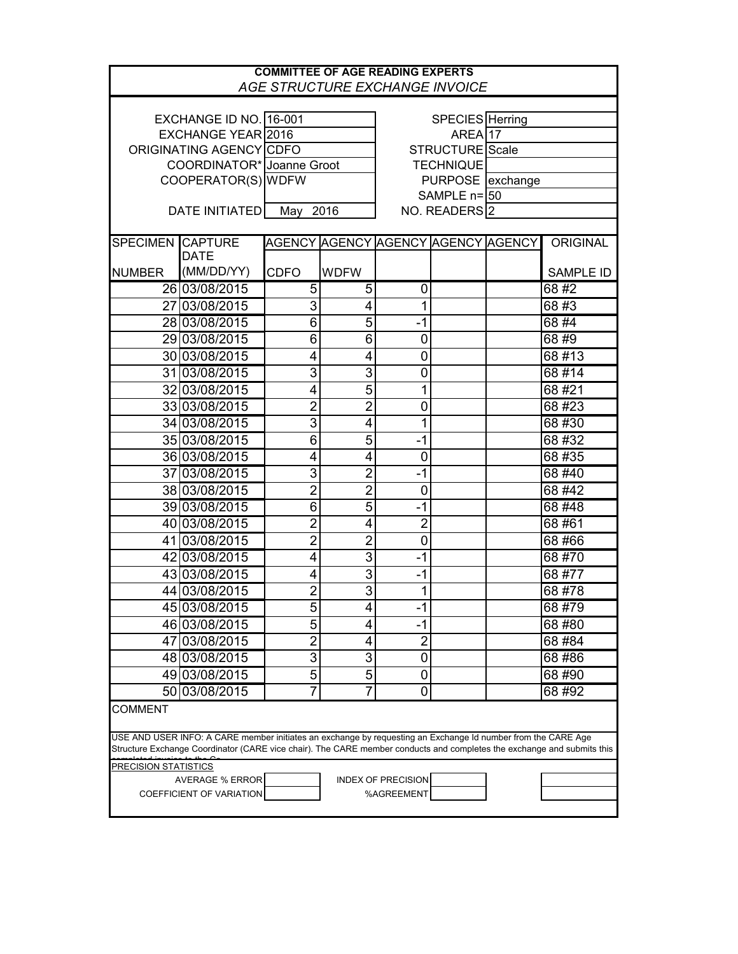| <b>COMMITTEE OF AGE READING EXPERTS</b><br>AGE STRUCTURE EXCHANGE INVOICE                                                                                                                                                                                |                           |                |                |                                    |  |  |                  |  |  |
|----------------------------------------------------------------------------------------------------------------------------------------------------------------------------------------------------------------------------------------------------------|---------------------------|----------------|----------------|------------------------------------|--|--|------------------|--|--|
|                                                                                                                                                                                                                                                          |                           |                |                |                                    |  |  |                  |  |  |
| EXCHANGE ID NO. 16-001                                                                                                                                                                                                                                   |                           |                |                | SPECIES Herring                    |  |  |                  |  |  |
| EXCHANGE YEAR 2016                                                                                                                                                                                                                                       |                           |                |                | AREA <sup>17</sup>                 |  |  |                  |  |  |
| ORIGINATING AGENCY CDFO                                                                                                                                                                                                                                  |                           |                |                | STRUCTURE <sup>Scale</sup>         |  |  |                  |  |  |
| COORDINATOR* Joanne Groot                                                                                                                                                                                                                                |                           |                |                | <b>TECHNIQUE</b>                   |  |  |                  |  |  |
|                                                                                                                                                                                                                                                          | COOPERATOR(S) WDFW        |                |                | PURPOSE exchange                   |  |  |                  |  |  |
|                                                                                                                                                                                                                                                          |                           |                |                | SAMPLE n= 50                       |  |  |                  |  |  |
| DATE INITIATED                                                                                                                                                                                                                                           |                           | 2016<br>May    |                | NO. READERS 2                      |  |  |                  |  |  |
| <b>SPECIMEN</b>                                                                                                                                                                                                                                          | <b>CAPTURE</b>            |                |                | AGENCY AGENCY AGENCY AGENCY AGENCY |  |  | <b>ORIGINAL</b>  |  |  |
| <b>NUMBER</b>                                                                                                                                                                                                                                            | <b>DATE</b><br>(MM/DD/YY) | <b>CDFO</b>    | <b>WDFW</b>    |                                    |  |  | <b>SAMPLE ID</b> |  |  |
|                                                                                                                                                                                                                                                          |                           |                |                |                                    |  |  |                  |  |  |
|                                                                                                                                                                                                                                                          | 26 03/08/2015             | 5              | 5              | 0                                  |  |  | 68#2             |  |  |
|                                                                                                                                                                                                                                                          | 27 03/08/2015             | 3              | 4              | 1                                  |  |  | 68#3             |  |  |
|                                                                                                                                                                                                                                                          | 28 03/08/2015             | 6              | 5              | $-1$                               |  |  | 68#4             |  |  |
|                                                                                                                                                                                                                                                          | 29 03/08/2015             | $\overline{6}$ | $\overline{6}$ | 0                                  |  |  | 68#9             |  |  |
|                                                                                                                                                                                                                                                          | 30 03/08/2015             | 4              | 4              | 0                                  |  |  | 68#13            |  |  |
|                                                                                                                                                                                                                                                          | 31 03/08/2015             | 3              | $\overline{3}$ | $\mathbf 0$                        |  |  | 68#14            |  |  |
|                                                                                                                                                                                                                                                          | 32 03/08/2015             | 4              | $\overline{5}$ | 1                                  |  |  | 68 #21           |  |  |
|                                                                                                                                                                                                                                                          | 33 03/08/2015             | $\overline{2}$ | $\overline{2}$ | 0                                  |  |  | 68 #23           |  |  |
|                                                                                                                                                                                                                                                          | 34 03/08/2015             | 3              | 4              | $\mathbf 1$                        |  |  | 68 #30           |  |  |
|                                                                                                                                                                                                                                                          | 35 03/08/2015             | 6              | 5              | $-1$                               |  |  | 68 #32           |  |  |
|                                                                                                                                                                                                                                                          | 36 03/08/2015             | 4              | 4              | $\mathbf 0$                        |  |  | 68 #35           |  |  |
|                                                                                                                                                                                                                                                          | 37 03/08/2015             | 3              | $\overline{2}$ | $-1$                               |  |  | 68 #40           |  |  |
|                                                                                                                                                                                                                                                          | 38 03/08/2015             | $\overline{2}$ | $\overline{2}$ | $\boldsymbol{0}$                   |  |  | 68 #42           |  |  |
|                                                                                                                                                                                                                                                          | 39 03/08/2015             | 6              | $\overline{5}$ | $-1$                               |  |  | 68 #48           |  |  |
|                                                                                                                                                                                                                                                          | 40 03/08/2015             | $\overline{2}$ | 4              | $\overline{2}$                     |  |  | 68 #61           |  |  |
|                                                                                                                                                                                                                                                          | 41 03/08/2015             | $\overline{2}$ | $\overline{2}$ | $\boldsymbol{0}$                   |  |  | 68 #66           |  |  |
|                                                                                                                                                                                                                                                          | 42 03/08/2015             | 4              | $\overline{3}$ | $-1$                               |  |  | 68 #70           |  |  |
|                                                                                                                                                                                                                                                          | 43 03/08/2015             | 4              | $\overline{3}$ | $-1$                               |  |  | 68 #77           |  |  |
|                                                                                                                                                                                                                                                          | 44 03/08/2015             | $\overline{2}$ | $\overline{3}$ | 1                                  |  |  | 68 #78           |  |  |
|                                                                                                                                                                                                                                                          | 45 03/08/2015             | 5              | 4              | -1                                 |  |  | 68 #79           |  |  |
|                                                                                                                                                                                                                                                          | 46 03/08/2015             | 5              | 4              | $-1$                               |  |  | 68 #80           |  |  |
|                                                                                                                                                                                                                                                          | 47 03/08/2015             | $\overline{2}$ | 4              | $\overline{2}$                     |  |  | 68 #84           |  |  |
|                                                                                                                                                                                                                                                          | 48 03/08/2015             | 3              | 3              | 0                                  |  |  | 68#86            |  |  |
|                                                                                                                                                                                                                                                          | 49 03/08/2015             | $\overline{5}$ | $\overline{5}$ | 0                                  |  |  | 68 #90           |  |  |
|                                                                                                                                                                                                                                                          | 50 03/08/2015             | $\overline{7}$ | $\overline{7}$ | 0                                  |  |  | 68 #92           |  |  |
|                                                                                                                                                                                                                                                          |                           |                |                |                                    |  |  |                  |  |  |
| <b>COMMENT</b><br>USE AND USER INFO: A CARE member initiates an exchange by requesting an Exchange Id number from the CARE Age<br>Structure Exchange Coordinator (CARE vice chair). The CARE member conducts and completes the exchange and submits this |                           |                |                |                                    |  |  |                  |  |  |
| <b>PRECISION STATISTICS</b>                                                                                                                                                                                                                              |                           |                |                |                                    |  |  |                  |  |  |
| <b>AVERAGE % ERROR</b><br><b>INDEX OF PRECISION</b>                                                                                                                                                                                                      |                           |                |                |                                    |  |  |                  |  |  |
| COEFFICIENT OF VARIATION<br>%AGREEMENT                                                                                                                                                                                                                   |                           |                |                |                                    |  |  |                  |  |  |